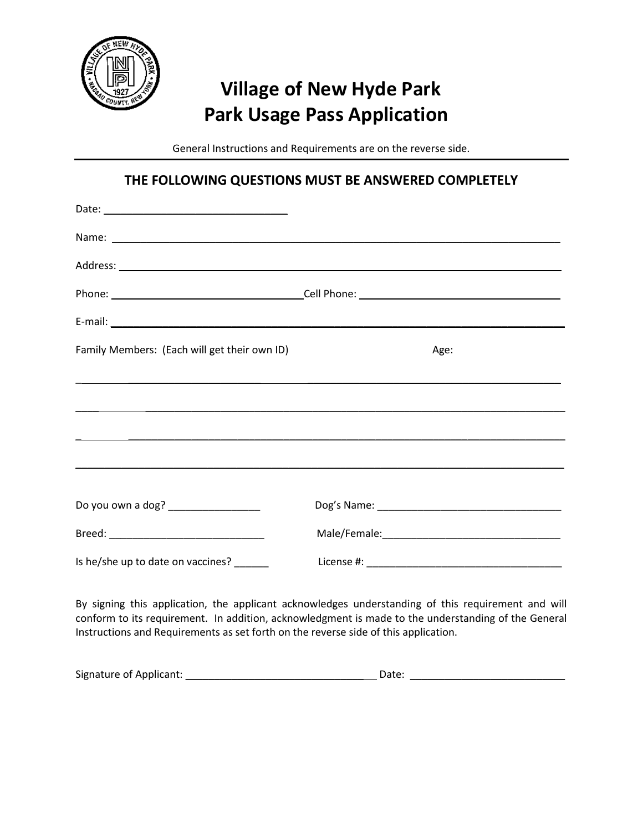

# **Village of New Hyde Park Park Usage Pass Application**

General Instructions and Requirements are on the reverse side.

### **THE FOLLOWING QUESTIONS MUST BE ANSWERED COMPLETELY**

| Family Members: (Each will get their own ID) | Age:                                                                                                                   |
|----------------------------------------------|------------------------------------------------------------------------------------------------------------------------|
|                                              | <u> 1980 - John Stone, Amerikaans en de Frysk kommunister en beskip in de ferske kommunister en beskip fan de fers</u> |
|                                              |                                                                                                                        |
|                                              |                                                                                                                        |
|                                              |                                                                                                                        |
|                                              |                                                                                                                        |
| Do you own a dog? ___________________        |                                                                                                                        |
|                                              |                                                                                                                        |
| Is he/she up to date on vaccines? ______     |                                                                                                                        |

By signing this application, the applicant acknowledges understanding of this requirement and will conform to its requirement. In addition, acknowledgment is made to the understanding of the General Instructions and Requirements as set forth on the reverse side of this application.

| Signature of Applicant: | Date |  |
|-------------------------|------|--|
|-------------------------|------|--|